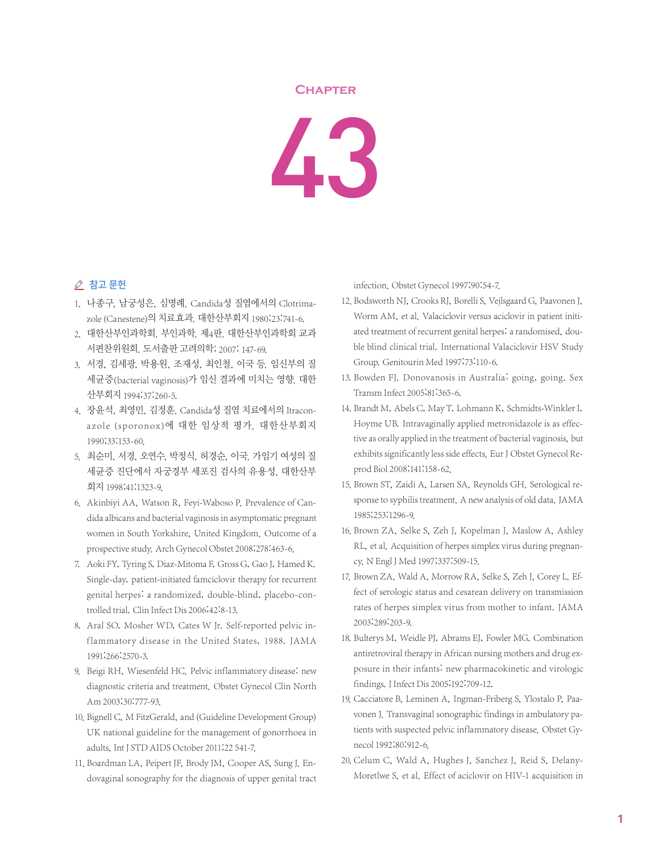## **Chapter**



## △ 참고 문헌

- 1. 나종구, 남궁성은, 심명례. Candida성 질염에서의 Clotrimazole (Canestene)의 치료효과. 대한산부회지 1980;23:741-6.
- 2. 대한산부인과학회. 부인과학. 제4판. 대한산부인과학회 교과 서편찬위원회. 도서출판 고려의학; 2007; 147-69.
- 3. 서경, 김세광, 박용원, 조재성, 최인철, 이국 등. 임신부의 질 세균증(bacterial vaginosis)가 임신 결과에 미치는 영향. 대한 산부회지 1994;37:260-5.
- 4. 장윤석, 최영민, 김정훈. Candida성 질염 치료에서의 Itraconazole (sporonox)에 대한 임상적 평가. 대한산부회지 1990;33:153-60.
- 5. 최순미, 서경, 오연수, 박정식, 허경순, 이국. 가임기 여성의 질 세균증 진단에서 자궁경부 세포진 검사의 유용성. 대한산부 회지 1998;41:1323-9.
- 6. Akinbiyi AA, Watson R, Feyi-Waboso P. Prevalence of Candida albicans and bacterial vaginosis in asymptomatic pregnant women in South Yorkshire, United Kingdom. Outcome of a prospective study. Arch Gynecol Obstet 2008;278:463-6.
- 7. Aoki FY, Tyring S, Diaz-Mitoma F, Gross G, Gao J, Hamed K. Single-day, patient-initiated famciclovir therapy for recurrent genital herpes: a randomized, double-blind, placebo-controlled trial. Clin Infect Dis 2006;42:8-13.
- 8. Aral SO, Mosher WD, Cates W Jr. Self-reported pelvic inflammatory disease in the United States, 1988. JAMA 1991;266:2570-3.
- 9. Beigi RH, Wiesenfeld HC. Pelvic inflammatory disease: new diagnostic criteria and treatment. Obstet Gynecol Clin North Am 2003;30:777-93.
- 10. Bignell C, M FitzGerald, and (Guideline Development Group) UK national guideline for the management of gonorrhoea in adults, Int J STD AIDS October 2011;22 541-7.
- 11. Boardman LA, Peipert JF, Brody JM, Cooper AS, Sung J. Endovaginal sonography for the diagnosis of upper genital tract

infection. Obstet Gynecol 1997;90:54-7.

- 12. Bodsworth NJ, Crooks RJ, Borelli S, Vejlsgaard G, Paavonen J, Worm AM, et al. Valaciclovir versus aciclovir in patient initiated treatment of recurrent genital herpes: a randomised, double blind clinical trial. International Valaciclovir HSV Study Group. Genitourin Med 1997;73:110-6.
- 13. Bowden FJ. Donovanosis in Australia: going, going. Sex Transm Infect 2005;81:365-6.
- 14. Brandt M, Abels C, May T, Lohmann K, Schmidts-Winkler I, Hoyme UB. Intravaginally applied metronidazole is as effective as orally applied in the treatment of bacterial vaginosis, but exhibits significantly less side effects. Eur J Obstet Gynecol Reprod Biol 2008;141:158-62.
- 15. Brown ST, Zaidi A, Larsen SA, Reynolds GH. Serological response to syphilis treatment. A new analysis of old data. JAMA 1985;253:1296-9.
- 16. Brown ZA, Selke S, Zeh J, Kopelman J, Maslow A, Ashley RL, et al. Acquisition of herpes simplex virus during pregnancy. N Engl J Med 1997;337:509-15.
- 17. Brown ZA, Wald A, Morrow RA, Selke S, Zeh J, Corey L, Effect of serologic status and cesarean delivery on transmission rates of herpes simplex virus from mother to infant. JAMA 2003;289:203-9.
- 18. Bulterys M, Weidle PJ, Abrams EJ, Fowler MG. Combination antiretroviral therapy in African nursing mothers and drug exposure in their infants: new pharmacokinetic and virologic findings.J Infect Dis 2005;192:709-12.
- 19. Cacciatore B, Leminen A, Ingman-Friberg S, Ylostalo P, Paavonen J. Transvaginal sonographic findings in ambulatory patients with suspected pelvic inflammatory disease. Obstet Gynecol 1992;80:912-6.
- 20. Celum C, Wald A, Hughes J, Sanchez J, Reid S, Delany-Moretlwe S, et al. Effect of aciclovir on HIV-1 acquisition in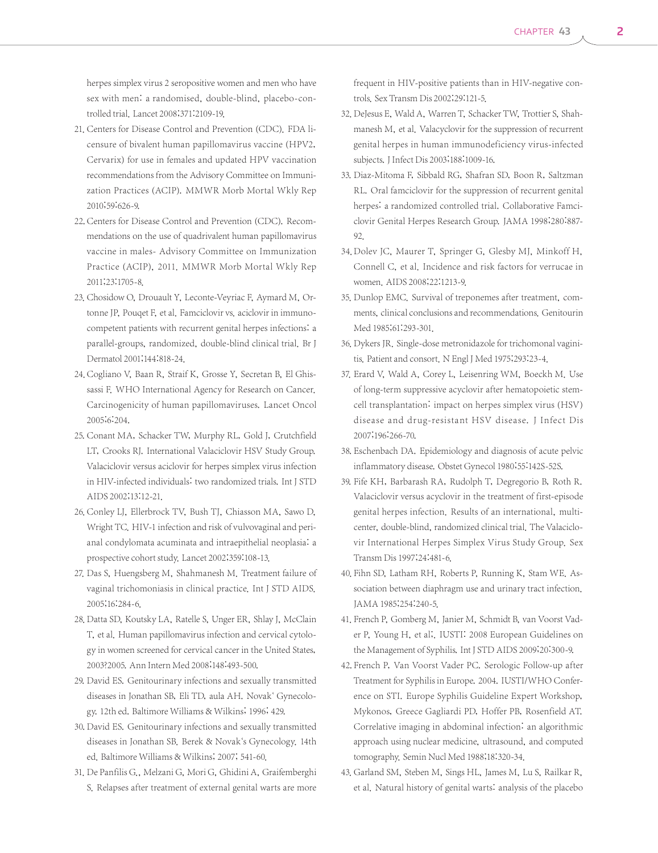herpes simplex virus 2 seropositive women and men who have sex with men: a randomised, double-blind, placebo-controlled trial. Lancet 2008;371:2109-19.

- 21. Centers for Disease Control and Prevention (CDC). FDA licensure of bivalent human papillomavirus vaccine (HPV2, Cervarix) for use in females and updated HPV vaccination recommendations from the Advisory Committee on Immunization Practices (ACIP). MMWR Morb Mortal Wkly Rep 2010;59:626-9.
- 22. Centers for Disease Control and Prevention (CDC). Recommendations on the use of quadrivalent human papillomavirus vaccine in males- Advisory Committee on Immunization Practice (ACIP), 2011. MMWR Morb Mortal Wkly Rep 2011;23:1705-8.
- 23. Chosidow O, Drouault Y, Leconte-Veyriac F, Aymard M, Ortonne JP, Pouqet F, et al. Famciclovir vs. aciclovir in immunocompetent patients with recurrent genital herpes infections: a parallel-groups, randomized, double-blind clinical trial. Br J Dermatol 2001;144:818-24.
- 24. Cogliano V, Baan R, Straif K, Grosse Y, Secretan B, El Ghissassi F. WHO International Agency for Research on Cancer. Carcinogenicity of human papillomaviruses. Lancet Oncol 2005;6:204.
- 25. Conant MA, Schacker TW, Murphy RL, Gold J, Crutchfield LT, Crooks RJ. International Valaciclovir HSV Study Group. Valaciclovir versus aciclovir for herpes simplex virus infection in HIV-infected individuals: two randomized trials. Int J STD AIDS 2002;13:12-21.
- 26. Conley LJ, Ellerbrock TV, Bush TJ, Chiasson MA, Sawo D, Wright TC. HIV-1 infection and risk of vulvovaginal and perianal condylomata acuminata and intraepithelial neoplasia: a prospective cohort study. Lancet 2002;359:108-13.
- 27. Das S, Huengsberg M, Shahmanesh M. Treatment failure of vaginal trichomoniasis in clinical practice. Int J STD AIDS. 2005;16:284-6.
- 28. Datta SD, Koutsky LA, Ratelle S, Unger ER, Shlay J, McClain T, et al. Human papillomavirus infection and cervical cytology in women screened for cervical cancer in the United States, 2003?2005. Ann Intern Med 2008;148:493-500.
- 29. David ES. Genitourinary infections and sexually transmitted diseases in Jonathan SB, Eli TD, aula AH. Novak` Gynecology. 12th ed. Baltimore Williams & Wilkins; 1996; 429.
- 30. David ES. Genitourinary infections and sexually transmitted diseases in Jonathan SB. Berek & Novak`s Gynecology. 14th ed. Baltimore Williams & Wilkins; 2007; 541-60.
- 31. De Panfilis G., Melzani G, Mori G, Ghidini A, Graifemberghi S. Relapses after treatment of external genital warts are more

frequent in HIV-positive patients than in HIV-negative controls. Sex Transm Dis 2002;29:121-5.

- 32. DeJesus E, Wald A, Warren T, Schacker TW, Trottier S, Shahmanesh M, et al. Valacyclovir for the suppression of recurrent genital herpes in human immunodeficiency virus-infected subjects.J Infect Dis 2003;188:1009-16.
- 33. Diaz-Mitoma F, Sibbald RG, Shafran SD, Boon R, Saltzman RL. Oral famciclovir for the suppression of recurrent genital herpes: a randomized controlled trial. Collaborative Famciclovir Genital Herpes Research Group. JAMA 1998;280:887- 92.
- 34. Dolev JC, Maurer T, Springer G, Glesby MJ, Minkoff H, Connell C, et al. Incidence and risk factors for verrucae in women. AIDS 2008;22:1213-9.
- 35. Dunlop EMC. Survival of treponemes after treatment, comments, clinical conclusions and recommendations. Genitourin Med 1985;61:293-301.
- 36. Dykers JR. Single-dose metronidazole for trichomonal vaginitis. Patient and consort. N Engl J Med 1975;293:23-4.
- 37. Erard V, Wald A, Corey L, Leisenring WM, Boeckh M. Use of long-term suppressive acyclovir after hematopoietic stemcell transplantation: impact on herpes simplex virus (HSV) disease and drug-resistant HSV disease. J Infect Dis 2007;196:266-70.
- 38. Eschenbach DA. Epidemiology and diagnosis of acute pelvic inflammatory disease. Obstet Gynecol 1980;55:142S-52S.
- 39. Fife KH, Barbarash RA, Rudolph T, Degregorio B, Roth R. Valaciclovir versus acyclovir in the treatment of first-episode genital herpes infection. Results of an international, multicenter, double-blind, randomized clinical trial. The Valaciclovir International Herpes Simplex Virus Study Group. Sex Transm Dis 1997;24:481-6.
- 40. Fihn SD, Latham RH, Roberts P, Running K, Stam WE. Association between diaphragm use and urinary tract infection. JAMA 1985;254:240-5.
- 41. French P, Gomberg M, Janier M, Schmidt B, van Voorst Vader P, Young H, et al;. IUSTI: 2008 European Guidelines on the Management of Syphilis. Int J STD AIDS 2009;20:300-9.
- 42. French P, Van Voorst Vader PC. Serologic Follow-up after Treatment for Syphilis in Europe. 2004. IUSTI/WHO Conference on STI. Europe Syphilis Guideline Expert Workshop, Mykonos, Greece Gagliardi PD, Hoffer PB, Rosenfield AT. Correlative imaging in abdominal infection: an algorithmic approach using nuclear medicine, ultrasound, and computed tomography. Semin Nucl Med 1988;18:320-34.
- 43. Garland SM, Steben M, Sings HL, James M, Lu S, Railkar R, et al. Natural history of genital warts: analysis of the placebo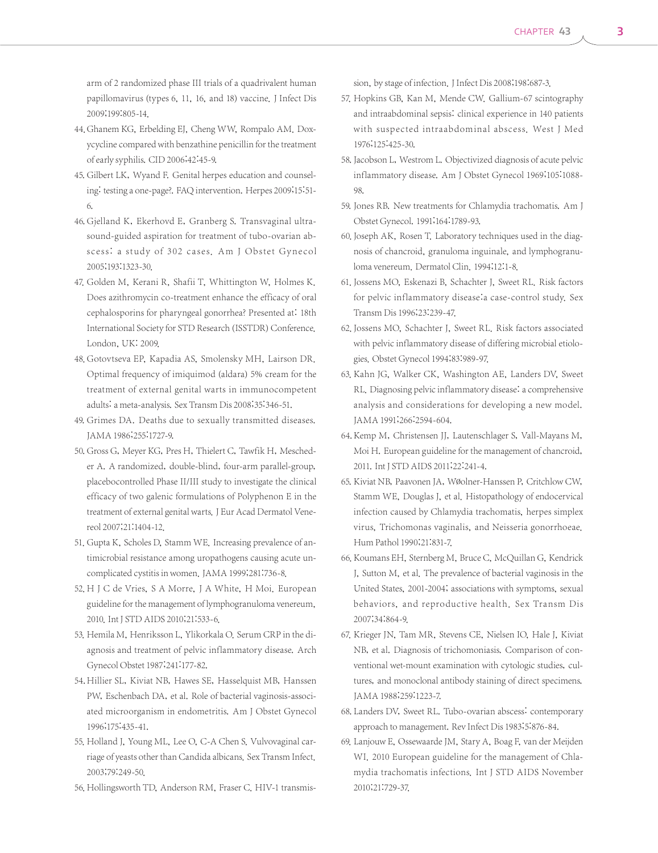arm of 2 randomized phase III trials of a quadrivalent human papillomavirus (types 6, 11, 16, and 18) vaccine. J Infect Dis 2009;199:805-14.

- 44. Ghanem KG, Erbelding EJ, Cheng WW, Rompalo AM. Doxycycline compared with benzathine penicillin for the treatment of early syphilis. CID 2006;42:45-9.
- 45. Gilbert LK, Wyand F. Genital herpes education and counseling: testing a one-page?. FAQ intervention. Herpes 2009;15:51-6.
- 46. Gjelland K, Ekerhovd E, Granberg S. Transvaginal ultrasound-guided aspiration for treatment of tubo-ovarian abscess: a study of 302 cases. Am J Obstet Gynecol 2005;193:1323-30.
- 47. Golden M, Kerani R, Shafii T, Whittington W, Holmes K. Does azithromycin co-treatment enhance the efficacy of oral cephalosporins for pharyngeal gonorrhea? Presented at: 18th International Society for STD Research (ISSTDR) Conference. London, UK: 2009.
- 48. Gotovtseva EP, Kapadia AS, Smolensky MH, Lairson DR. Optimal frequency of imiquimod (aldara) 5% cream for the treatment of external genital warts in immunocompetent adults: a meta-analysis. Sex Transm Dis 2008;35:346-51.
- 49. Grimes DA. Deaths due to sexually transmitted diseases. JAMA 1986;255:1727-9.
- 50. Gross G, Meyer KG, Pres H, Thielert C, Tawfik H, Mescheder A. A randomized, double-blind, four-arm parallel-group, placebocontrolled Phase II/III study to investigate the clinical efficacy of two galenic formulations of Polyphenon E in the treatment of external genital warts. J Eur Acad Dermatol Venereol 2007;21:1404-12.
- 51. Gupta K, Scholes D, Stamm WE. Increasing prevalence of antimicrobial resistance among uropathogens causing acute uncomplicated cystitis in women. JAMA 1999;281:736-8.
- 52. H J C de Vries, S A Morre, J A White, H Moi. European guideline for the management of lymphogranuloma venereum, 2010.Int J STD AIDS 2010;21:533-6.
- 53. Hemila M, Henriksson L, Ylikorkala O. Serum CRP in the diagnosis and treatment of pelvic inflammatory disease. Arch Gynecol Obstet 1987;241:177-82.
- 54. Hillier SL, Kiviat NB, Hawes SE, Hasselquist MB, Hanssen PW, Eschenbach DA, et al. Role of bacterial vaginosis-associated microorganism in endometritis. Am J Obstet Gynecol 1996;175:435-41.
- 55. Holland J, Young ML, Lee O, C-A Chen S. Vulvovaginal carriage of yeasts other than Candida albicans. Sex Transm Infect. 2003;79:249-50.
- 56. Hollingsworth TD, Anderson RM, Fraser C. HIV-1 transmis-

sion, by stage of infection. J Infect Dis 2008;198:687-3.

- 57. Hopkins GB, Kan M, Mende CW. Gallium-67 scintography and intraabdominal sepsis: clinical experience in 140 patients with suspected intraabdominal abscess. West J Med 1976;125:425-30.
- 58. Jacobson L, Westrom L. Objectivized diagnosis of acute pelvic inflammatory disease. Am J Obstet Gynecol 1969;105:1088- 98.
- 59. Jones RB. New treatments for Chlamydia trachomatis. Am J Obstet Gynecol. 1991;164:1789-93.
- 60. Joseph AK, Rosen T. Laboratory techniques used in the diagnosis of chancroid, granuloma inguinale, and lymphogranuloma venereum. Dermatol Clin. 1994;12:1-8.
- 61. Jossens MO, Eskenazi B, Schachter J, Sweet RL, Risk factors for pelvic inflammatory disease:a case-control study. Sex Transm Dis 1996;23:239-47.
- 62. Jossens MO, Schachter J, Sweet RL. Risk factors associated with pelvic inflammatory disease of differing microbial etiologies. Obstet Gynecol 1994;83:989-97.
- 63. Kahn JG, Walker CK, Washington AE, Landers DV, Sweet RL. Diagnosing pelvic inflammatory disease: a comprehensive analysis and considerations for developing a new model. JAMA 1991;266:2594-604.
- 64. Kemp M, Christensen JJ, Lautenschlager S, Vall-Mayans M, Moi H. European guideline for the management of chancroid, 2011.Int J STD AIDS 2011;22:241-4.
- 65. Kiviat NB, Paavonen JA, Wøolner-Hanssen P, Critchlow CW, Stamm WE, Douglas J, et al. Histopathology of endocervical infection caused by Chlamydia trachomatis, herpes simplex virus, Trichomonas vaginalis, and Neisseria gonorrhoeae. Hum Pathol 1990;21:831-7.
- 66. Koumans EH, Sternberg M, Bruce C, McQuillan G, Kendrick J, Sutton M, et al. The prevalence of bacterial vaginosis in the United States, 2001-2004; associations with symptoms, sexual behaviors, and reproductive health. Sex Transm Dis 2007;34:864-9.
- 67. Krieger JN, Tam MR, Stevens CE, Nielsen IO, Hale J, Kiviat NB, et al. Diagnosis of trichomoniasis. Comparison of conventional wet-mount examination with cytologic studies, cultures, and monoclonal antibody staining of direct specimens. JAMA 1988;259:1223-7.
- 68. Landers DV, Sweet RL. Tubo-ovarian abscess: contemporary approach to management. Rev Infect Dis 1983;5:876-84.
- 69. Lanjouw E, Ossewaarde JM, Stary A, Boag F, van der Meijden WI. 2010 European guideline for the management of Chlamydia trachomatis infections. Int J STD AIDS November 2010;21:729-37.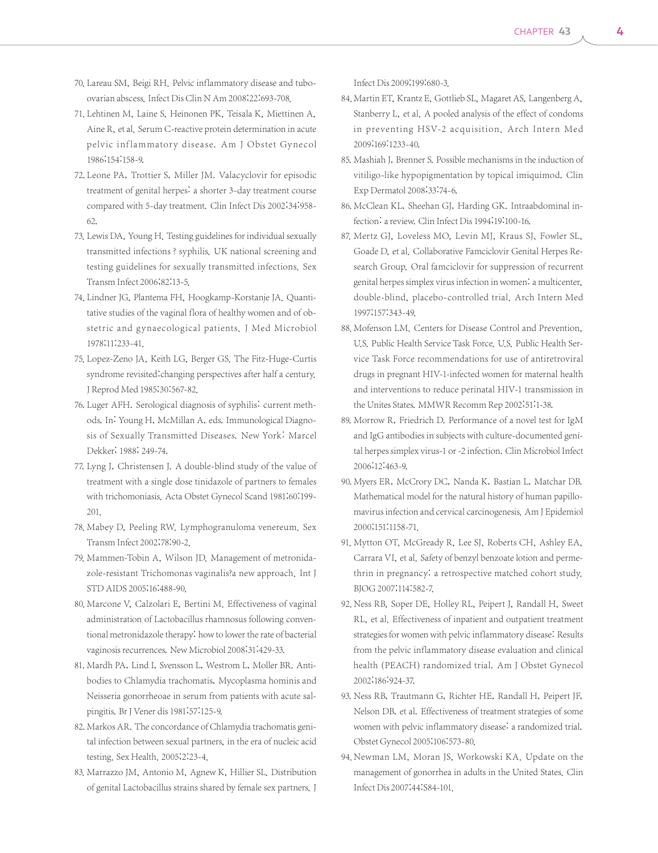- 70. Lareau SM, Beigi RH. Pelvic inflammatory disease and tuboovarian abscess.Infect Dis Clin N Am 2008;22:693-708.
- 71. Lehtinen M, Laine S, Heinonen PK, Teisala K, Miettinen A, Aine R, et al. Serum C-reactive protein determination in acute pelvic inflammatory disease. Am J Obstet Gynecol 1986;154:158-9.
- 72. Leone PA, Trottier S, Miller JM. Valacyclovir for episodic treatment of genital herpes: a shorter 3-day treatment course compared with 5-day treatment. Clin Infect Dis 2002;34:958- 62.
- 73. Lewis DA, Young H. Testing guidelines for individual sexually transmitted infections ? syphilis. UK national screening and testing guidelines for sexually transmitted infections. Sex Transm Infect 2006;82:13-5.
- 74. Lindner JG, Plantema FH, Hoogkamp-Korstanje JA. Quantitative studies of the vaginal flora of healthy women and of obstetric and gynaecological patients. J Med Microbiol 1978;11:233-41.
- 75. Lopez-Zeno JA, Keith LG, Berger GS. The Fitz-Huge-Curtis syndrome revisited:changing perspectives after half a century. J Reprod Med 1985;30:567-82.
- 76. Luger AFH. Serological diagnosis of syphilis: current methods. In: Young H, McMillan A, eds. Immunological Diagnosis of Sexually Transmitted Diseases. New York: Marcel Dekker; 1988; 249-74.
- 77. Lyng J, Christensen J. A double-blind study of the value of treatment with a single dose tinidazole of partners to females with trichomoniasis. Acta Obstet Gynecol Scand 1981;60:199- 201.
- 78. Mabey D, Peeling RW. Lymphogranuloma venereum. Sex Transm Infect 2002;78:90-2.
- 79. Mammen-Tobin A, Wilson JD. Management of metronidazole-resistant Trichomonas vaginalis?a new approach. Int J STD AIDS 2005;16:488-90.
- 80. Marcone V, Calzolari E, Bertini M. Effectiveness of vaginal administration of Lactobacillus rhamnosus following conventional metronidazole therapy: how to lower the rate of bacterial vaginosis recurrences. New Microbiol 2008;31:429-33.
- 81. Mardh PA, Lind I, Svensson L, Westrom L, Moller BR. Antibodies to Chlamydia trachomatis, Mycoplasma hominis and Neisseria gonorrheoae in serum from patients with acute salpingitis. Br J Vener dis 1981;57:125-9.
- 82. Markos AR. The concordance of Chlamydia trachomatis genital infection between sexual partners, in the era of nucleic acid testing. Sex Health. 2005;2:23-4.
- 83. Marrazzo JM, Antonio M, Agnew K, Hillier SL. Distribution of genital Lactobacillus strains shared by female sex partners. J

Infect Dis 2009;199:680-3.

- 84. Martin ET, Krantz E, Gottlieb SL, Magaret AS, Langenberg A, Stanberry L, et al. A pooled analysis of the effect of condoms in preventing HSV-2 acquisition. Arch Intern Med 2009;169:1233-40.
- 85. Mashiah J, Brenner S. Possible mechanisms in the induction of vitiligo-like hypopigmentation by topical imiquimod. Clin Exp Dermatol 2008;33:74-6.
- 86. McClean KL, Sheehan GJ, Harding GK. Intraabdominal infection: a review. Clin Infect Dis 1994;19:100-16.
- 87. Mertz GJ, Loveless MO, Levin MJ, Kraus SJ, Fowler SL, Goade D, et al. Collaborative Famciclovir Genital Herpes Research Group. Oral famciclovir for suppression of recurrent genital herpes simplex virus infection in women: a multicenter, double-blind, placebo-controlled trial. Arch Intern Med 1997;157:343-49.
- 88. Mofenson LM. Centers for Disease Control and Prevention, U.S. Public Health Service Task Force. U.S. Public Health Service Task Force recommendations for use of antiretroviral drugs in pregnant HIV-1-infected women for maternal health and interventions to reduce perinatal HIV-1 transmission in the Unites States. MMWR Recomm Rep 2002;51:1-38.
- 89. Morrow R, Friedrich D. Performance of a novel test for IgM and IgG antibodies in subjects with culture-documented genital herpes simplex virus-1 or-2 infection. Clin Microbiol Infect 2006;12:463-9.
- 90. Myers ER, McCrory DC, Nanda K, Bastian L, Matchar DB. Mathematical model for the natural history of human papillomavirus infection and cervical carcinogenesis. Am J Epidemiol 2000;151:1158-71.
- 91. Mytton OT, McGready R, Lee SJ, Roberts CH, Ashley EA, Carrara VI, et al. Safety of benzyl benzoate lotion and permethrin in pregnancy: a retrospective matched cohort study. BJOG 2007;114:582-7.
- 92. Ness RB, Soper DE, Holley RL, Peipert J, Randall H, Sweet RL, et al. Effectiveness of inpatient and outpatient treatment strategies for women with pelvic inflammatory disease: Results from the pelvic inflammatory disease evaluation and clinical health (PEACH) randomized trial. Am J Obstet Gynecol 2002;186:924-37.
- 93. Ness RB, Trautmann G, Richter HE, Randall H, Peipert JF, Nelson DB, et al. Effectiveness of treatment strategies of some women with pelvic inflammatory disease: a randomized trial. Obstet Gynecol 2005;106:573-80.
- 94. Newman LM, Moran JS, Workowski KA. Update on the management of gonorrhea in adults in the United States. Clin Infect Dis 2007;44:S84-101.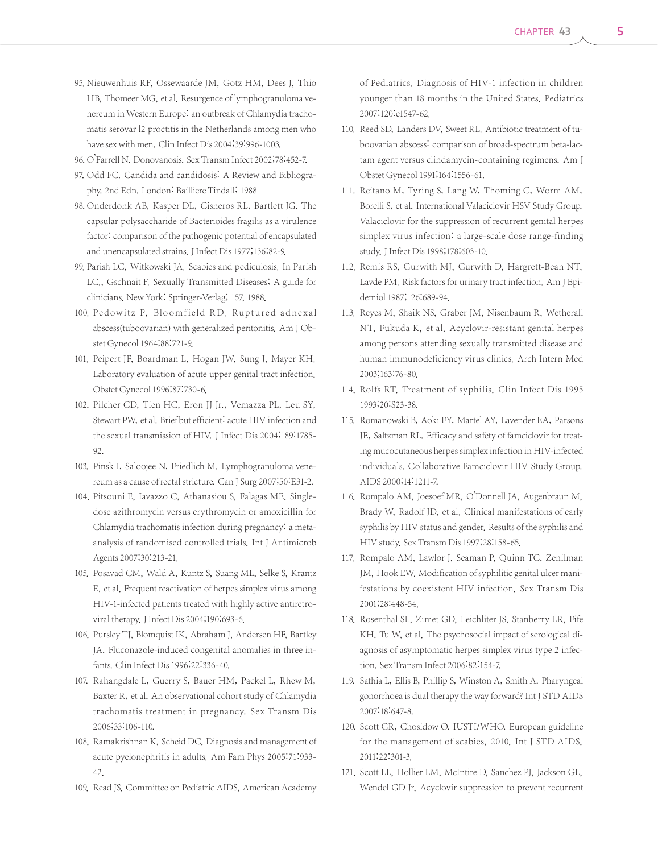- 95. Nieuwenhuis RF, Ossewaarde JM, Gotz HM, Dees J, Thio HB, Thomeer MG, et al. Resurgence of lymphogranuloma venereum in Western Europe: an outbreak of Chlamydia trachomatis serovar l2 proctitis in the Netherlands among men who have sex with men. Clin Infect Dis 2004;39:996-1003.
- 96. O'Farrell N. Donovanosis. Sex Transm Infect 2002;78:452-7.
- 97. Odd FC. Candida and candidosis: A Review and Bibliography. 2nd Edn. London: Bailliere Tindall; 1988
- 98. Onderdonk AB, Kasper DL, Cisneros RL, Bartlett JG. The capsular polysaccharide of Bacterioides fragilis as a virulence factor: comparison of the pathogenic potential of encapsulated and unencapsulated strains. J Infect Dis 1977;136:82-9.
- 99. Parish LC, Witkowski JA. Scabies and pediculosis. In Parish LC., Gschnait F. Sexually Transmitted Diseases; A guide for clinicians. New York: Springer-Verlag; 157, 1988.
- 100. Pedowitz P, Bloomfield RD. Ruptured adnexal abscess(tuboovarian) with generalized peritonitis. Am J Obstet Gynecol 1964;88:721-9.
- 101. Peipert JF, Boardman L, Hogan JW, Sung J, Mayer KH. Laboratory evaluation of acute upper genital tract infection. Obstet Gynecol 1996;87:730-6.
- 102. Pilcher CD, Tien HC, Eron JJ Jr., Vemazza PL, Leu SY, Stewart PW, et al. Brief but efficient: acute HIV infection and the sexual transmission of HIV. J Infect Dis 2004;189:1785- 92.
- 103. Pinsk I, Saloojee N, Friedlich M. Lymphogranuloma venereum as a cause of rectal stricture. Can J Surg 2007;50:E31-2.
- 104. Pitsouni E, Iavazzo C, Athanasiou S, Falagas ME. Singledose azithromycin versus erythromycin or amoxicillin for Chlamydia trachomatis infection during pregnancy: a metaanalysis of randomised controlled trials. Int J Antimicrob Agents 2007;30:213-21.
- 105. Posavad CM, Wald A, Kuntz S, Suang ML, Selke S, Krantz E, et al. Frequent reactivation of herpes simplex virus among HIV-1-infected patients treated with highly active antiretroviral therapy. J Infect Dis 2004;190:693-6.
- 106. Pursley TJ, Blomquist IK, Abraham J, Andersen HF, Bartley JA. Fluconazole-induced congenital anomalies in three infants. Clin Infect Dis 1996;22:336-40.
- 107. Rahangdale L, Guerry S, Bauer HM, Packel L, Rhew M, Baxter R, et al. An observational cohort study of Chlamydia trachomatis treatment in pregnancy. Sex Transm Dis 2006;33:106-110.
- 108. Ramakrishnan K, Scheid DC. Diagnosis and management of acute pyelonephritis in adults. Am Fam Phys 2005:71:933- 42.
- 109. Read JS. Committee on Pediatric AIDS, American Academy

of Pediatrics. Diagnosis of HIV-1 infection in children younger than 18 months in the United States. Pediatrics 2007;120:e1547-62.

- 110. Reed SD, Landers DV, Sweet RL. Antibiotic treatment of tuboovarian abscess: comparison of broad-spectrum beta-lactam agent versus clindamycin-containing regimens. Am J Obstet Gynecol 1991;164:1556-61.
- 111. Reitano M, Tyring S, Lang W, Thoming C, Worm AM, Borelli S, et al. International Valaciclovir HSV Study Group. Valaciclovir for the suppression of recurrent genital herpes simplex virus infection: a large-scale dose range-finding study.J Infect Dis 1998;178:603-10.
- 112. Remis RS, Gurwith MJ, Gurwith D, Hargrett-Bean NT, Lavde PM. Risk factors for urinary tract infection. Am J Epidemiol 1987;126:689-94.
- 113. Reyes M, Shaik NS, Graber JM, Nisenbaum R, Wetherall NT, Fukuda K, et al. Acyclovir-resistant genital herpes among persons attending sexually transmitted disease and human immunodeficiency virus clinics. Arch Intern Med 2003;163:76-80.
- 114. Rolfs RT. Treatment of syphilis. Clin Infect Dis 1995 1993;20:S23-38.
- 115. Romanowski B, Aoki FY, Martel AY, Lavender EA, Parsons JE, Saltzman RL. Efficacy and safety of famciclovir for treating mucocutaneous herpes simplex infection in HIV-infected individuals. Collaborative Famciclovir HIV Study Group. AIDS 2000;14:1211-7.
- 116. Rompalo AM, Joesoef MR, O'Donnell JA, Augenbraun M, Brady W, Radolf JD, et al. Clinical manifestations of early syphilis by HIV status and gender. Results of the syphilis and HIV study. Sex Transm Dis 1997;28:158-65.
- 117. Rompalo AM, Lawlor J, Seaman P, Quinn TC, Zenilman JM, Hook EW. Modification of syphilitic genital ulcer manifestations by coexistent HIV infection. Sex Transm Dis 2001;28:448-54.
- 118. Rosenthal SL, Zimet GD, Leichliter JS, Stanberry LR, Fife KH, Tu W, et al. The psychosocial impact of serological diagnosis of asymptomatic herpes simplex virus type 2 infection. Sex Transm Infect 2006;82:154-7.
- 119. Sathia L, Ellis B, Phillip S, Winston A, Smith A. Pharyngeal gonorrhoea is dual therapy the way forward? Int J STD AIDS 2007;18:647-8.
- 120. Scott GR, Chosidow O. IUSTI/WHO. European guideline for the management of scabies, 2010. Int J STD AIDS. 2011;22:301-3.
- 121. Scott LL, Hollier LM, McIntire D, Sanchez PJ, Jackson GL, Wendel GD Jr. Acyclovir suppression to prevent recurrent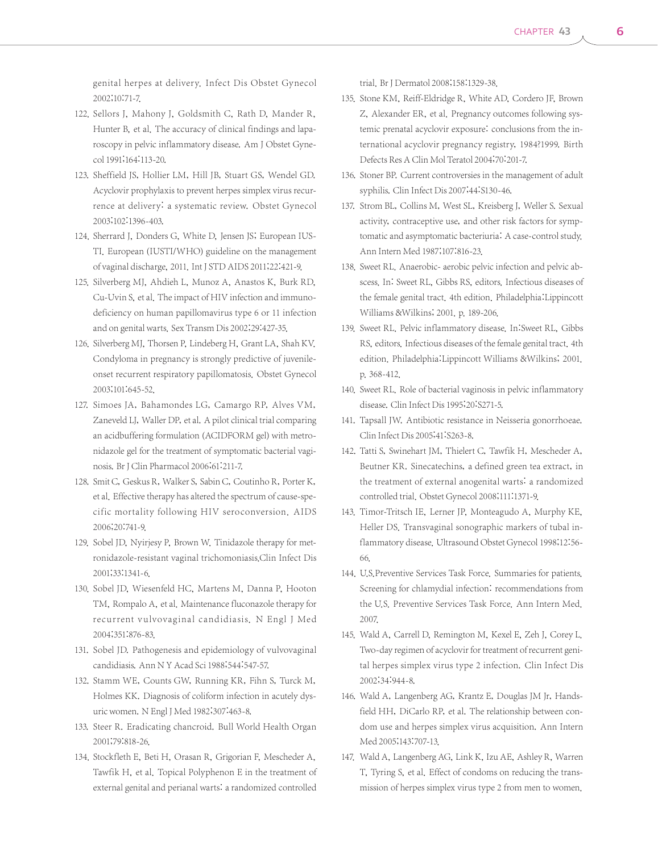genital herpes at delivery. Infect Dis Obstet Gynecol 2002;10:71-7.

- 122. Sellors J, Mahony J, Goldsmith C, Rath D, Mander R, Hunter B, et al. The accuracy of clinical findings and laparoscopy in pelvic inflammatory disease. Am J Obstet Gynecol 1991;164:113-20.
- 123. Sheffield JS, Hollier LM, Hill JB, Stuart GS, Wendel GD. Acyclovir prophylaxis to prevent herpes simplex virus recurrence at delivery: a systematic review. Obstet Gynecol 2003;102:1396-403.
- 124. Sherrard J, Donders G, White D, Jensen JS; European IUS-TI. European (IUSTI/WHO) guideline on the management of vaginal discharge, 2011.Int J STD AIDS 2011;22:421-9.
- 125. Silverberg MJ, Ahdieh L, Munoz A, Anastos K, Burk RD, Cu-Uvin S, et al. The impact of HIV infection and immunodeficiency on human papillomavirus type 6 or 11 infection and on genital warts. Sex Transm Dis 2002;29:427-35.
- 126. Silverberg MJ, Thorsen P, Lindeberg H, Grant LA, Shah KV. Condyloma in pregnancy is strongly predictive of juvenileonset recurrent respiratory papillomatosis. Obstet Gynecol 2003;101:645-52.
- 127. Simoes JA, Bahamondes LG, Camargo RP, Alves VM, Zaneveld LJ, Waller DP, et al. A pilot clinical trial comparing an acidbuffering formulation (ACIDFORM gel) with metronidazole gel for the treatment of symptomatic bacterial vaginosis. Br J Clin Pharmacol 2006;61:211-7.
- 128. Smit C, Geskus R, Walker S, Sabin C, Coutinho R, Porter K, et al. Effective therapy has altered the spectrum of cause-specific mortality following HIV seroconversion. AIDS 2006;20:741-9.
- 129. Sobel JD, Nyirjesy P, Brown W. Tinidazole therapy for metronidazole-resistant vaginal trichomoniasis.Clin Infect Dis 2001;33:1341-6.
- 130. Sobel JD, Wiesenfeld HC, Martens M, Danna P, Hooton TM, Rompalo A, et al. Maintenance fluconazole therapy for recurrent vulvovaginal candidiasis. N Engl J Med 2004;351:876-83.
- 131. Sobel JD. Pathogenesis and epidemiology of vulvovaginal candidiasis. Ann N Y Acad Sci 1988;544:547-57.
- 132. Stamm WE, Counts GW, Running KR, Fihn S, Turck M, Holmes KK. Diagnosis of coliform infection in acutely dysuric women. N Engl J Med 1982;307:463-8.
- 133. Steer R. Eradicating chancroid. Bull World Health Organ 2001;79:818-26.
- 134. Stockfleth E, Beti H, Orasan R, Grigorian F, Mescheder A, Tawfik H, et al. Topical Polyphenon E in the treatment of external genital and perianal warts: a randomized controlled

trial. Br J Dermatol 2008;158:1329-38.

- 135. Stone KM, Reiff-Eldridge R, White AD, Cordero JF, Brown Z, Alexander ER, et al. Pregnancy outcomes following systemic prenatal acyclovir exposure: conclusions from the international acyclovir pregnancy registry, 1984?1999. Birth Defects Res A Clin Mol Teratol 2004;70:201-7.
- 136. Stoner BP. Current controversies in the management of adult syphilis. Clin Infect Dis 2007;44:S130-46.
- 137. Strom BL, Collins M, West SL, Kreisberg J, Weller S. Sexual activity, contraceptive use, and other risk factors for symptomatic and asymptomatic bacteriuria: A case-control study. Ann Intern Med 1987;107:816-23.
- 138. Sweet RL. Anaerobic- aerobic pelvic infection and pelvic abscess. In: Sweet RL, Gibbs RS, editors. Infectious diseases of the female genital tract. 4th edition. Philadelphia:Lippincott Williams &Wilkins; 2001. p. 189-206.
- 139. Sweet RL. Pelvic inflammatory disease. In:Sweet RL, Gibbs RS, editors. Infectious diseases of the female genital tract. 4th edition. Philadelphia:Lippincott Williams &Wilkins; 2001. p. 368-412.
- 140. Sweet RL. Role of bacterial vaginosis in pelvic inflammatory disease. Clin Infect Dis 1995;20:S271-5.
- 141. Tapsall JW. Antibiotic resistance in Neisseria gonorrhoeae. Clin Infect Dis 2005;41:S263-8.
- 142. Tatti S, Swinehart JM, Thielert C, Tawfik H, Mescheder A, Beutner KR. Sinecatechins, a defined green tea extract, in the treatment of external anogenital warts: a randomized controlled trial. Obstet Gynecol 2008;111:1371-9.
- 143. Timor-Tritsch IE, Lerner JP, Monteagudo A, Murphy KE, Heller DS. Transvaginal sonographic markers of tubal inflammatory disease. Ultrasound Obstet Gynecol 1998;12:56- 66.
- 144. U.S. Preventive Services Task Force. Summaries for patients. Screening for chlamydial infection: recommendations from the U.S. Preventive Services Task Force. Ann Intern Med. 2007.
- 145. Wald A, Carrell D, Remington M, Kexel E, Zeh J, Corey L. Two-day regimen of acyclovir for treatment of recurrent genital herpes simplex virus type 2 infection. Clin Infect Dis 2002;34:944-8.
- 146. Wald A, Langenberg AG, Krantz E, Douglas JM Jr, Handsfield HH, DiCarlo RP, et al. The relationship between condom use and herpes simplex virus acquisition. Ann Intern Med 2005;143:707-13.
- 147. Wald A, Langenberg AG, Link K, Izu AE, Ashley R, Warren T, Tyring S, et al. Effect of condoms on reducing the transmission of herpes simplex virus type 2 from men to women.